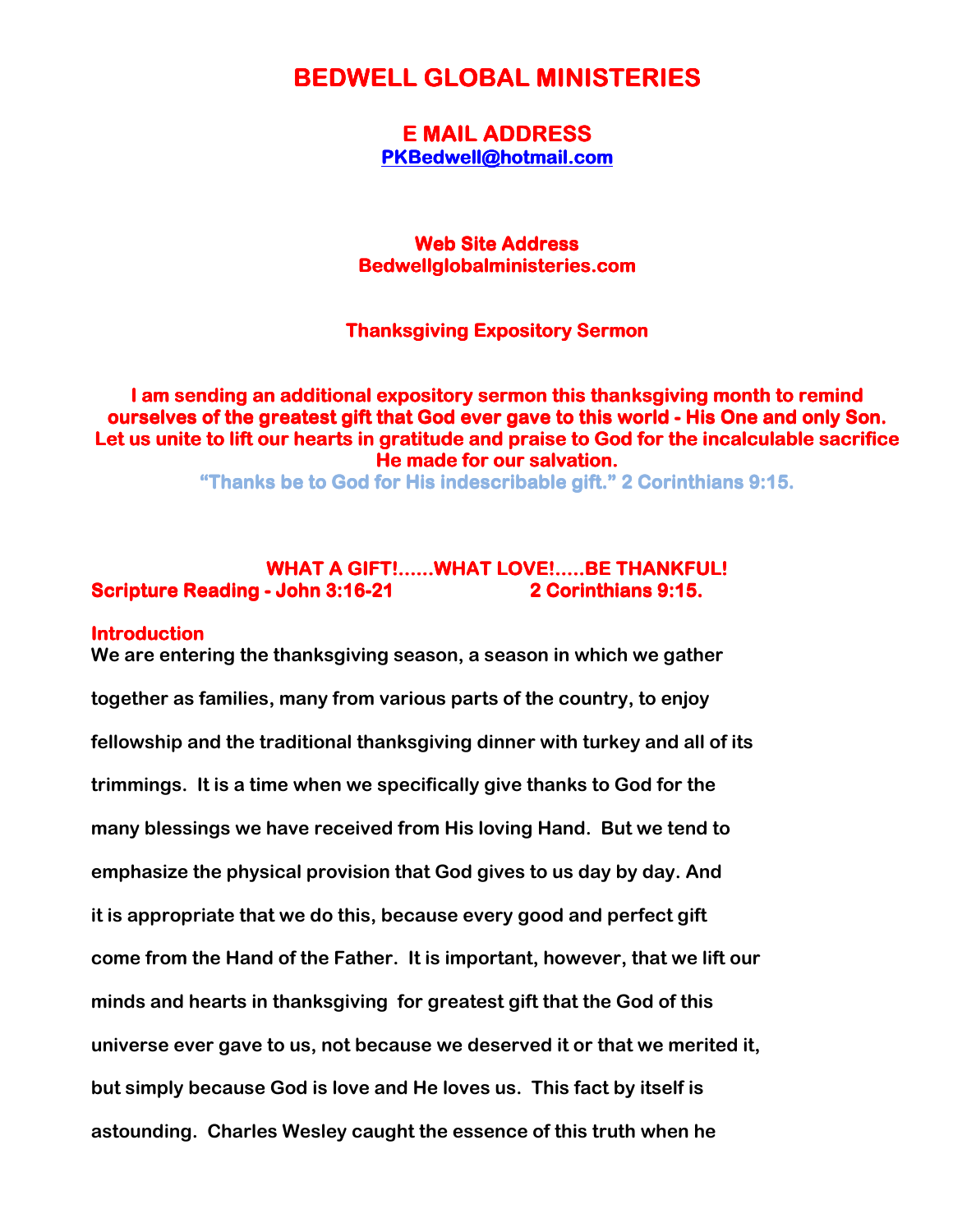# **BEDWELL GLOBAL MINISTERIES**

**E MAIL ADDRESS** PKBedwell@hotmail.com

**Web Site Address** Bedwellglobalministeries.com

# **Thanksgiving Expository Sermon**

I am sending an additional expository sermon this thanksgiving month to remind ourselves of the greatest gift that God ever gave to this world - His One and only Son. Let us unite to lift our hearts in gratitude and praise to God for the incalculable sacrifice He made for our salvation.

"Thanks be to God for His indescribable gift." 2 Corinthians 9:15.

# WHAT A GIFT!......WHAT LOVE!.....BE THANKFUL! Scripture Reading - John 3:16-21 2 Corinthians 9:15.

#### **Introduction**

We are entering the thanksgiving season, a season in which we gather together as families, many from various parts of the country, to enjoy fellowship and the traditional thanksgiving dinner with turkey and all of its trimmings. It is a time when we specifically give thanks to God for the many blessings we have received from His loving Hand. But we tend to emphasize the physical provision that God gives to us day by day. And it is appropriate that we do this, because every good and perfect gift come from the Hand of the Father. It is important, however, that we lift our minds and hearts in thanksgiving for greatest gift that the God of this universe ever gave to us, not because we deserved it or that we merited it, but simply because God is love and He loves us. This fact by itself is astounding. Charles Wesley caught the essence of this truth when he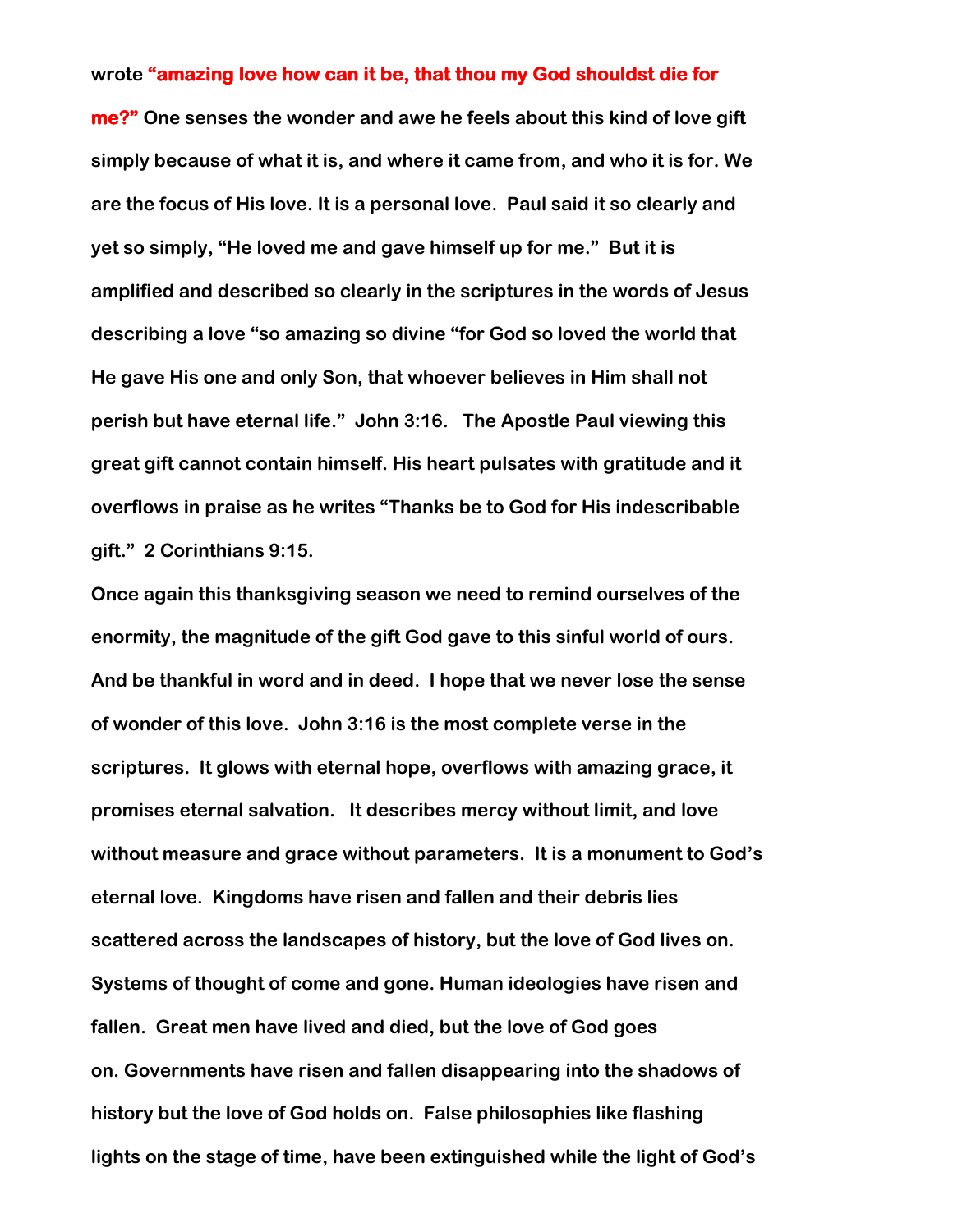### wrote "amazing love how can it be, that thou my God shouldst die for

me?" One senses the wonder and awe he feels about this kind of love gift simply because of what it is, and where it came from, and who it is for. We are the focus of His love. It is a personal love. Paul said it so clearly and yet so simply, "He loved me and gave himself up for me." But it is amplified and described so clearly in the scriptures in the words of Jesus describing a love "so amazing so divine "for God so loved the world that He gave His one and only Son, that whoever believes in Him shall not perish but have eternal life." John 3:16. The Apostle Paul viewing this great gift cannot contain himself. His heart pulsates with gratitude and it overflows in praise as he writes "Thanks be to God for His indescribable gift." 2 Corinthians 9:15.

Once again this thanksgiving season we need to remind ourselves of the enormity, the magnitude of the gift God gave to this sinful world of ours. And be thankful in word and in deed. I hope that we never lose the sense of wonder of this love. John 3:16 is the most complete verse in the scriptures. It glows with eternal hope, overflows with amazing grace, it promises eternal salvation. It describes mercy without limit, and love without measure and grace without parameters. It is a monument to God's eternal love. Kingdoms have risen and fallen and their debris lies scattered across the landscapes of history, but the love of God lives on. Systems of thought of come and gone. Human ideologies have risen and fallen. Great men have lived and died, but the love of God goes on. Governments have risen and fallen disappearing into the shadows of history but the love of God holds on. False philosophies like flashing lights on the stage of time, have been extinguished while the light of God's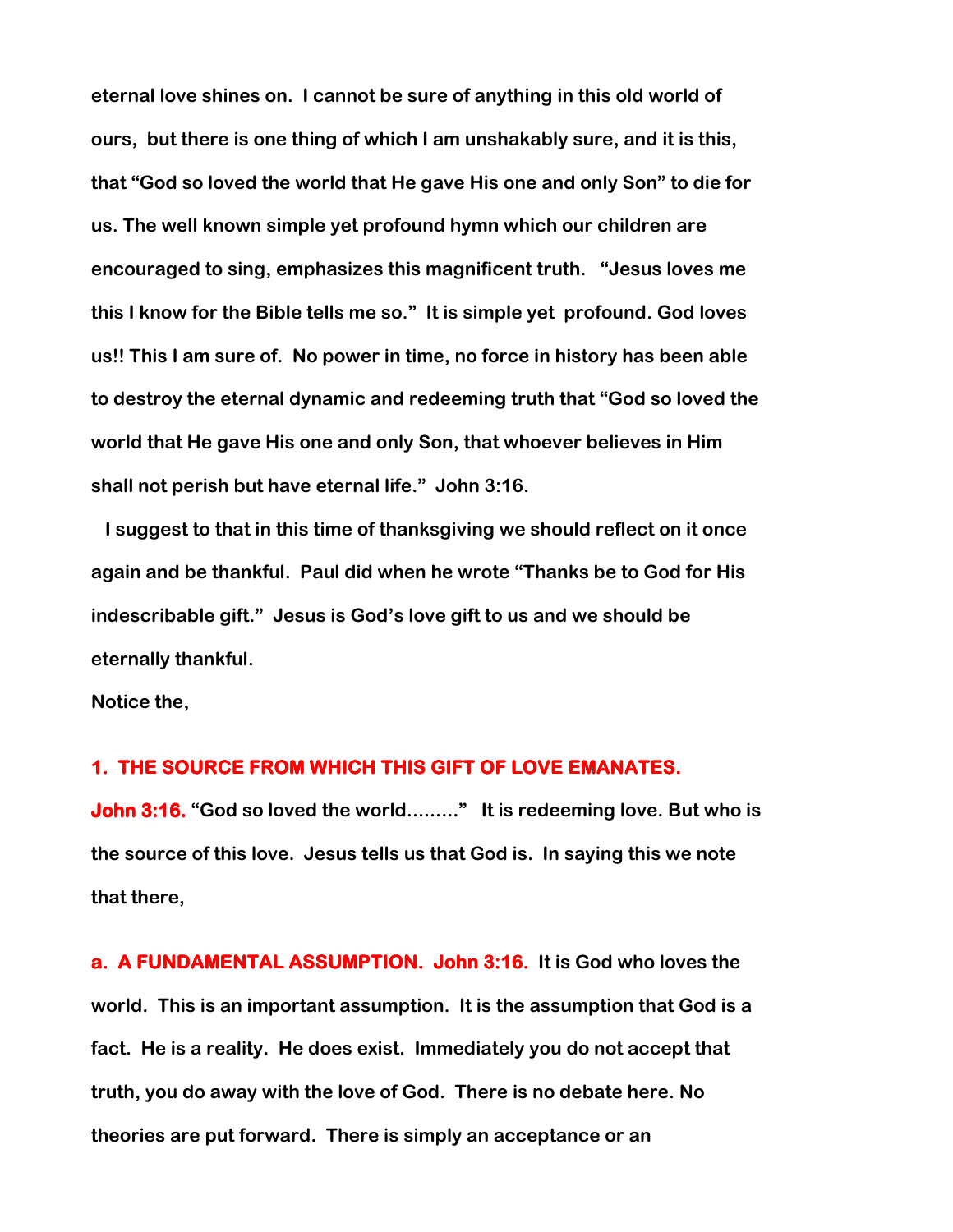eternal love shines on. I cannot be sure of anything in this old world of ours, but there is one thing of which I am unshakably sure, and it is this, that "God so loved the world that He gave His one and only Son" to die for us. The well known simple yet profound hymn which our children are encouraged to sing, emphasizes this magnificent truth. "Jesus loves me this I know for the Bible tells me so." It is simple yet profound. God loves us!! This I am sure of. No power in time, no force in history has been able to destroy the eternal dynamic and redeeming truth that "God so loved the world that He gave His one and only Son, that whoever believes in Him shall not perish but have eternal life." John 3:16.

 I suggest to that in this time of thanksgiving we should reflect on it once again and be thankful. Paul did when he wrote "Thanks be to God for His indescribable gift." Jesus is God's love gift to us and we should be eternally thankful.

Notice the,

#### 1. THE SOURCE FROM WHICH THIS GIFT OF LOVE EMANATES.

John 3:16. "God so loved the world........." It is redeeming love. But who is the source of this love. Jesus tells us that God is. In saying this we note that there,

a. A FUNDAMENTAL ASSUMPTION. John 3:16. It is God who loves the world. This is an important assumption. It is the assumption that God is a fact. He is a reality. He does exist. Immediately you do not accept that truth, you do away with the love of God. There is no debate here. No theories are put forward. There is simply an acceptance or an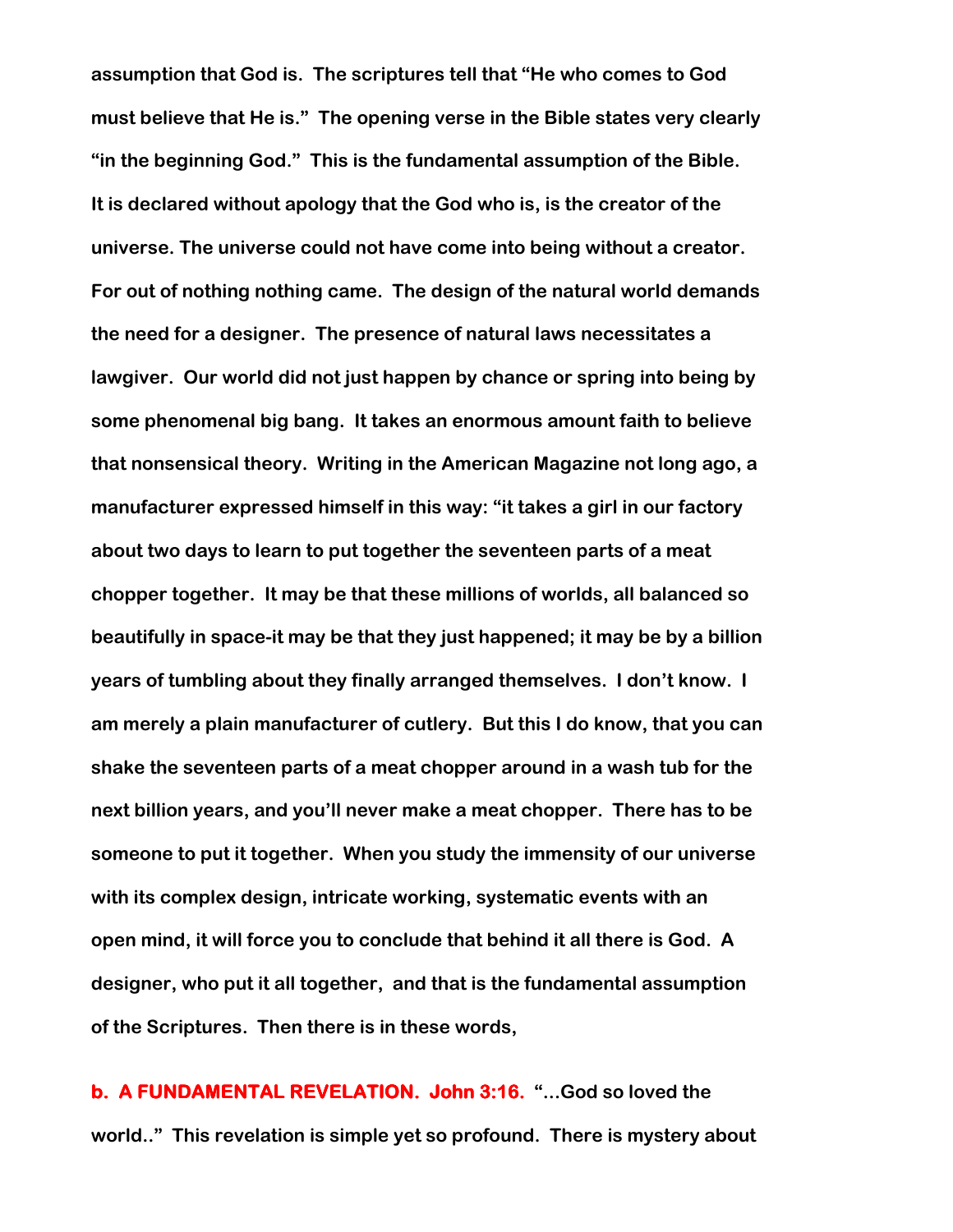assumption that God is. The scriptures tell that "He who comes to God must believe that He is." The opening verse in the Bible states very clearly "in the beginning God." This is the fundamental assumption of the Bible. It is declared without apology that the God who is, is the creator of the universe. The universe could not have come into being without a creator. For out of nothing nothing came. The design of the natural world demands the need for a designer. The presence of natural laws necessitates a lawgiver. Our world did not just happen by chance or spring into being by some phenomenal big bang. It takes an enormous amount faith to believe that nonsensical theory. Writing in the American Magazine not long ago, a manufacturer expressed himself in this way: "it takes a girl in our factory about two days to learn to put together the seventeen parts of a meat chopper together. It may be that these millions of worlds, all balanced so beautifully in space-it may be that they just happened; it may be by a billion years of tumbling about they finally arranged themselves. I don't know. I am merely a plain manufacturer of cutlery. But this I do know, that you can shake the seventeen parts of a meat chopper around in a wash tub for the next billion years, and you'll never make a meat chopper. There has to be someone to put it together. When you study the immensity of our universe with its complex design, intricate working, systematic events with an open mind, it will force you to conclude that behind it all there is God. A designer, who put it all together, and that is the fundamental assumption of the Scriptures. Then there is in these words,

b. A FUNDAMENTAL REVELATION. John 3:16. "...God so loved the world.." This revelation is simple yet so profound. There is mystery about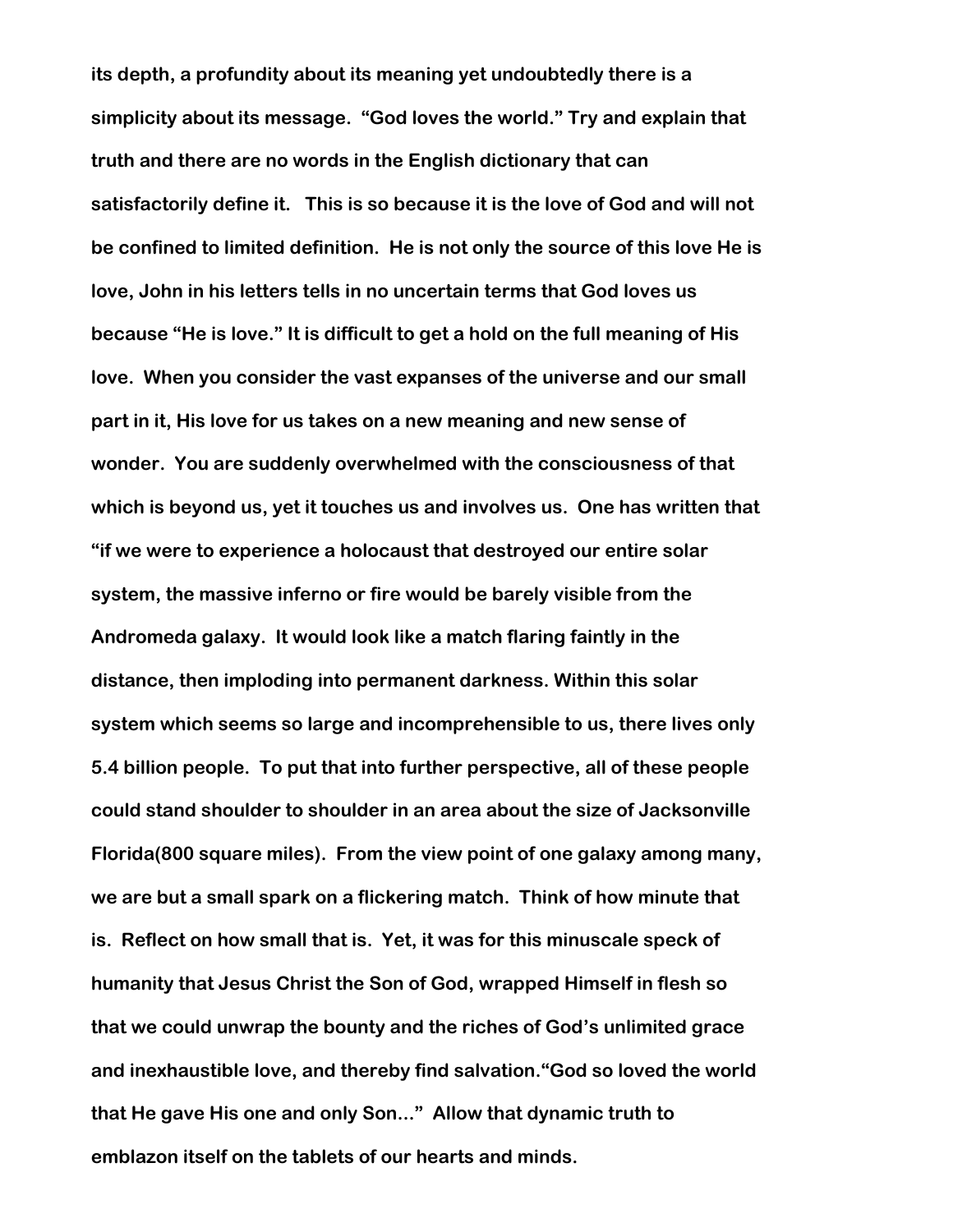its depth, a profundity about its meaning yet undoubtedly there is a simplicity about its message. "God loves the world." Try and explain that truth and there are no words in the English dictionary that can satisfactorily define it. This is so because it is the love of God and will not be confined to limited definition. He is not only the source of this love He is love, John in his letters tells in no uncertain terms that God loves us because "He is love." It is difficult to get a hold on the full meaning of His love. When you consider the vast expanses of the universe and our small part in it, His love for us takes on a new meaning and new sense of wonder. You are suddenly overwhelmed with the consciousness of that which is beyond us, yet it touches us and involves us. One has written that "if we were to experience a holocaust that destroyed our entire solar system, the massive inferno or fire would be barely visible from the Andromeda galaxy. It would look like a match flaring faintly in the distance, then imploding into permanent darkness. Within this solar system which seems so large and incomprehensible to us, there lives only 5.4 billion people. To put that into further perspective, all of these people could stand shoulder to shoulder in an area about the size of Jacksonville Florida(800 square miles). From the view point of one galaxy among many, we are but a small spark on a flickering match. Think of how minute that is. Reflect on how small that is. Yet, it was for this minuscale speck of humanity that Jesus Christ the Son of God, wrapped Himself in flesh so that we could unwrap the bounty and the riches of God's unlimited grace and inexhaustible love, and thereby find salvation."God so loved the world that He gave His one and only Son..." Allow that dynamic truth to emblazon itself on the tablets of our hearts and minds.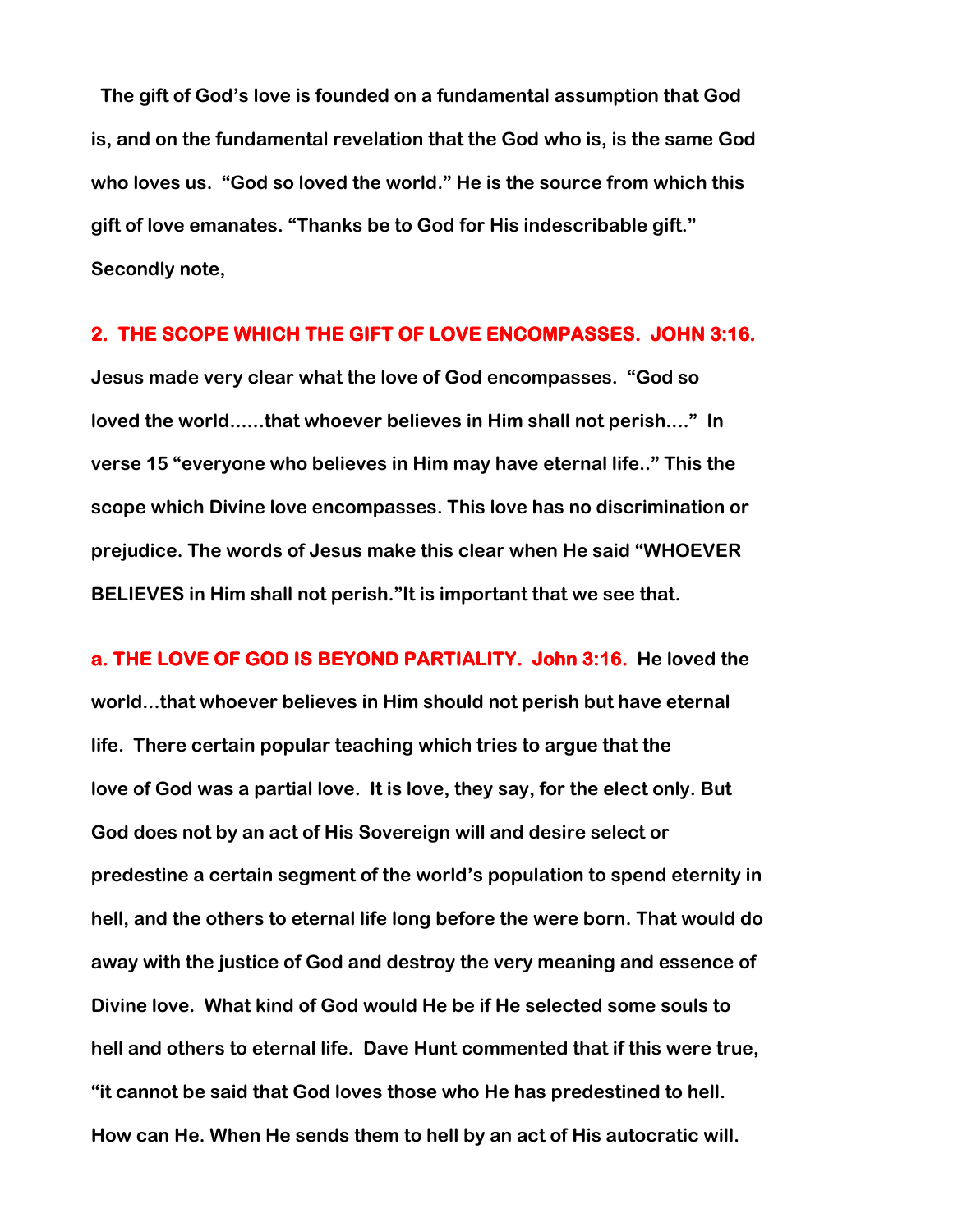The gift of God's love is founded on a fundamental assumption that God is, and on the fundamental revelation that the God who is, is the same God who loves us. "God so loved the world." He is the source from which this gift of love emanates. "Thanks be to God for His indescribable gift." Secondly note,

## 2. THE SCOPE WHICH THE GIFT OF LOVE ENCOMPASSES. JOHN 3:16.

Jesus made very clear what the love of God encompasses. "God so loved the world......that whoever believes in Him shall not perish...." In verse 15 "everyone who believes in Him may have eternal life.." This the scope which Divine love encompasses. This love has no discrimination or prejudice. The words of Jesus make this clear when He said "WHOEVER BELIEVES in Him shall not perish."It is important that we see that.

a. THE LOVE OF GOD IS BEYOND PARTIALITY. John 3:16. He loved the world...that whoever believes in Him should not perish but have eternal life. There certain popular teaching which tries to argue that the love of God was a partial love. It is love, they say, for the elect only. But God does not by an act of His Sovereign will and desire select or predestine a certain segment of the world's population to spend eternity in hell, and the others to eternal life long before the were born. That would do away with the justice of God and destroy the very meaning and essence of Divine love. What kind of God would He be if He selected some souls to hell and others to eternal life. Dave Hunt commented that if this were true, "it cannot be said that God loves those who He has predestined to hell. How can He. When He sends them to hell by an act of His autocratic will.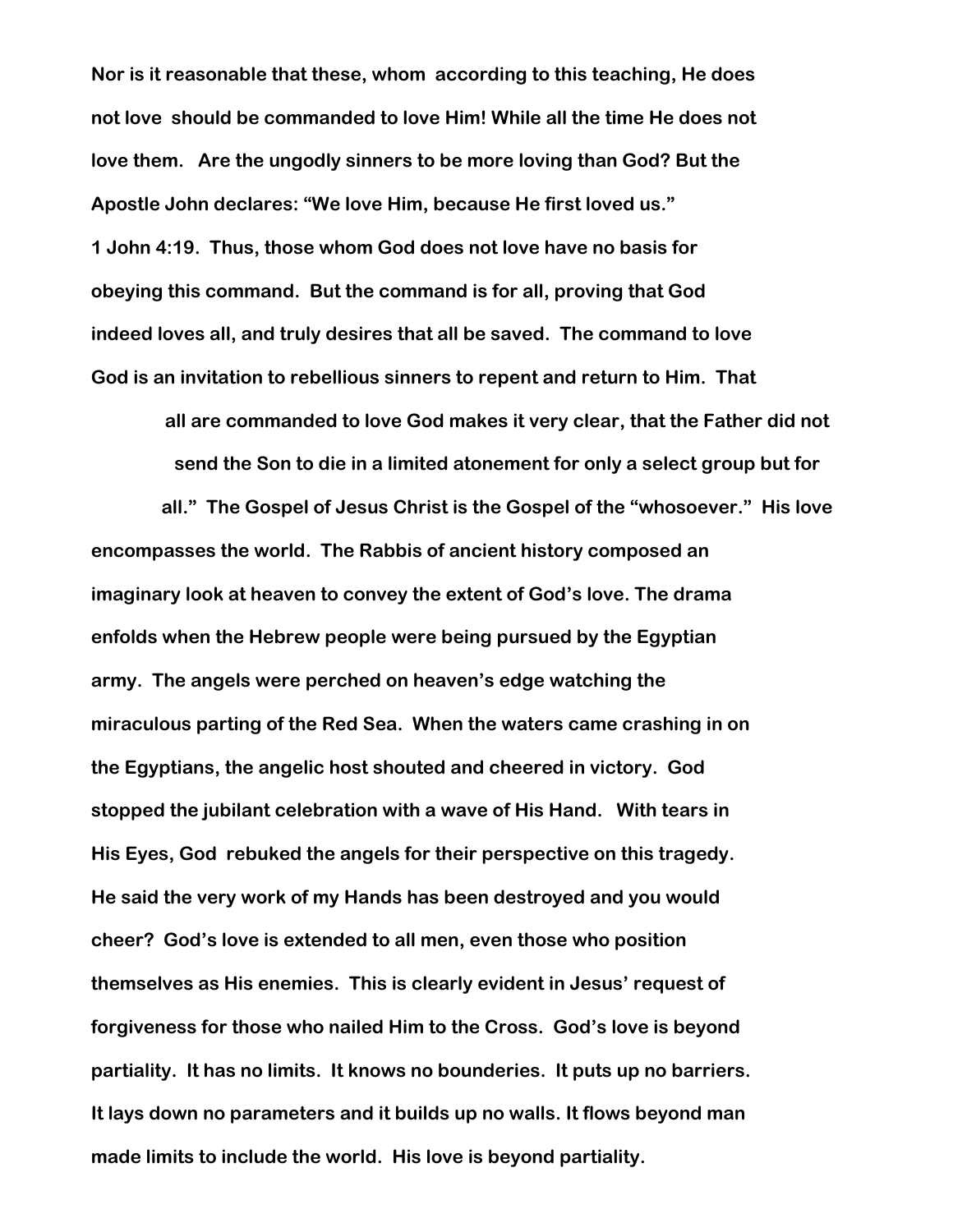Nor is it reasonable that these, whom according to this teaching, He does not love should be commanded to love Him! While all the time He does not love them. Are the ungodly sinners to be more loving than God? But the Apostle John declares: "We love Him, because He first loved us." 1 John 4:19. Thus, those whom God does not love have no basis for obeying this command. But the command is for all, proving that God indeed loves all, and truly desires that all be saved. The command to love God is an invitation to rebellious sinners to repent and return to Him. That

> all are commanded to love God makes it very clear, that the Father did not send the Son to die in a limited atonement for only a select group but for

all." The Gospel of Jesus Christ is the Gospel of the "whosoever." His love encompasses the world. The Rabbis of ancient history composed an imaginary look at heaven to convey the extent of God's love. The drama enfolds when the Hebrew people were being pursued by the Egyptian army. The angels were perched on heaven's edge watching the miraculous parting of the Red Sea. When the waters came crashing in on the Egyptians, the angelic host shouted and cheered in victory. God stopped the jubilant celebration with a wave of His Hand. With tears in His Eyes, God rebuked the angels for their perspective on this tragedy. He said the very work of my Hands has been destroyed and you would cheer? God's love is extended to all men, even those who position themselves as His enemies. This is clearly evident in Jesus' request of forgiveness for those who nailed Him to the Cross. God's love is beyond partiality. It has no limits. It knows no bounderies. It puts up no barriers. It lays down no parameters and it builds up no walls. It flows beyond man made limits to include the world. His love is beyond partiality.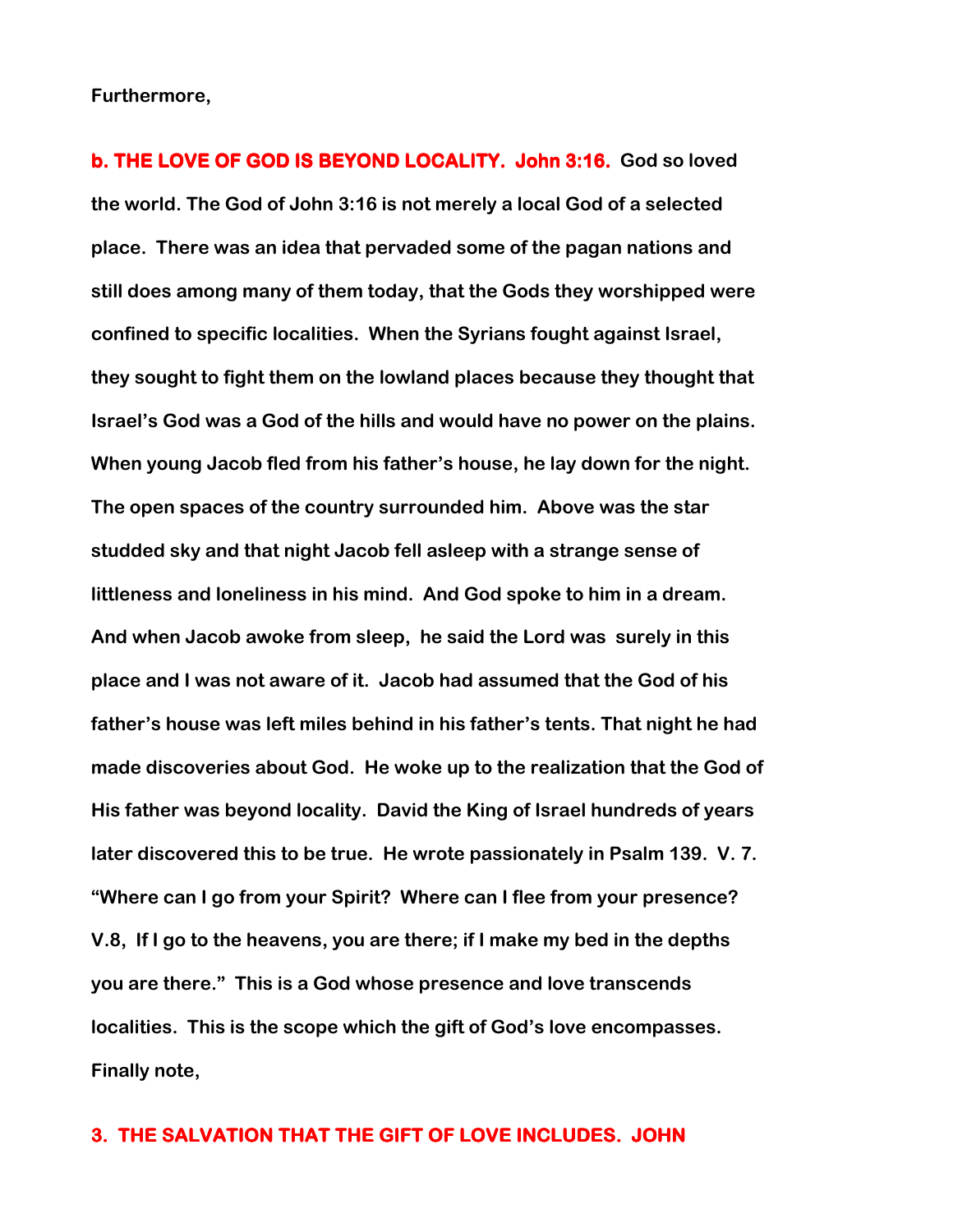Furthermore,

b. THE LOVE OF GOD IS BEYOND LOCALITY. John 3:16. God so loved the world. The God of John 3:16 is not merely a local God of a selected place. There was an idea that pervaded some of the pagan nations and still does among many of them today, that the Gods they worshipped were confined to specific localities. When the Syrians fought against Israel, they sought to fight them on the lowland places because they thought that Israel's God was a God of the hills and would have no power on the plains. When young Jacob fled from his father's house, he lay down for the night. The open spaces of the country surrounded him. Above was the star studded sky and that night Jacob fell asleep with a strange sense of littleness and loneliness in his mind. And God spoke to him in a dream. And when Jacob awoke from sleep, he said the Lord was surely in this place and I was not aware of it. Jacob had assumed that the God of his father's house was left miles behind in his father's tents. That night he had made discoveries about God. He woke up to the realization that the God of His father was beyond locality. David the King of Israel hundreds of years later discovered this to be true. He wrote passionately in Psalm 139. V. 7. "Where can I go from your Spirit? Where can I flee from your presence? V.8, If I go to the heavens, you are there; if I make my bed in the depths you are there." This is a God whose presence and love transcends localities. This is the scope which the gift of God's love encompasses. Finally note,

#### 3. THE SALVATION THAT THE GIFT OF LOVE INCLUDES. JOHN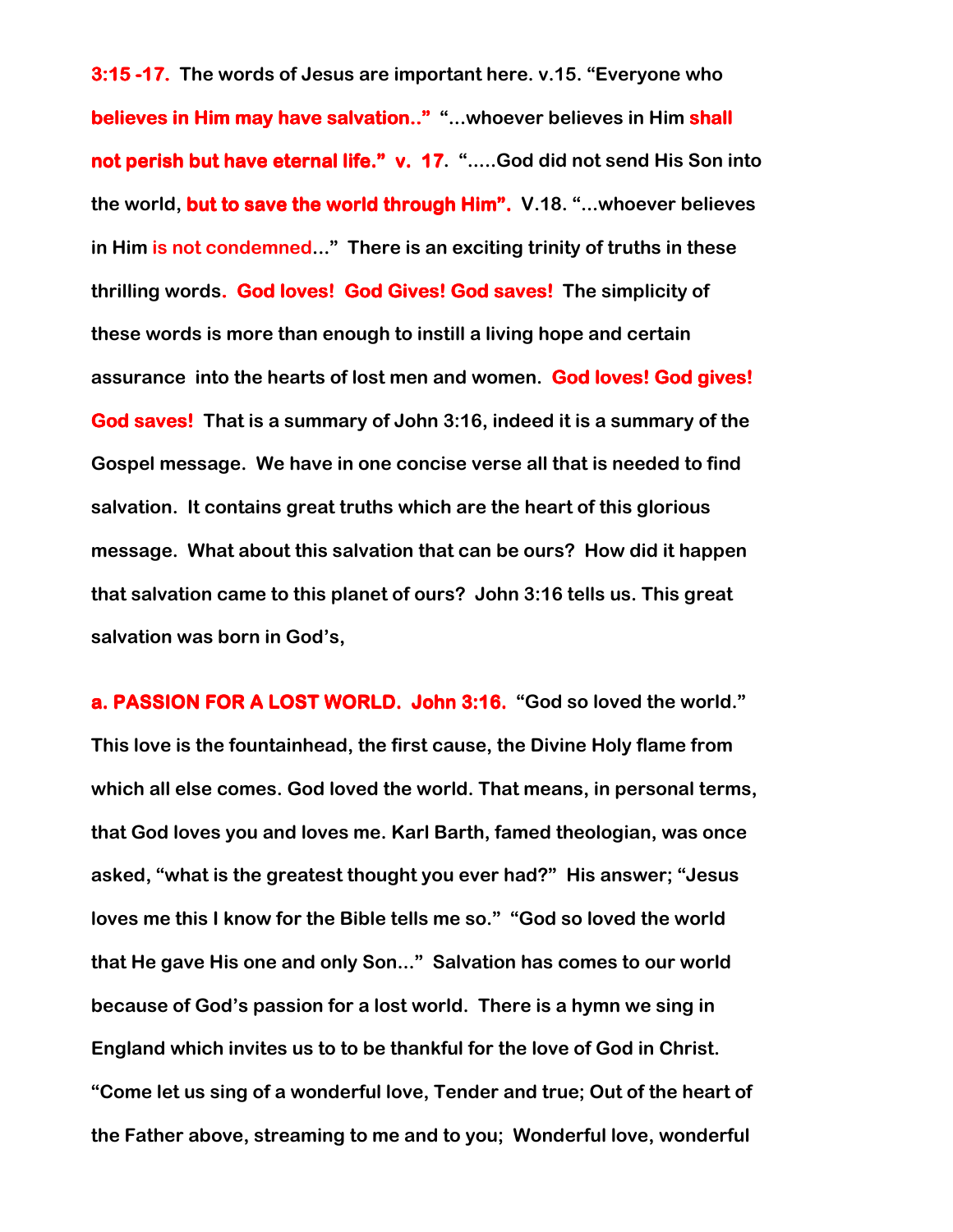3:15 -17. The words of Jesus are important here. v.15. "Everyone who believes in Him may have salvation.." "...whoever believes in Him shall not perish but have eternal life." v. 17. ".....God did not send His Son into the world, but to save the world through Him". V.18. "...whoever believes in Him is not condemned..." There is an exciting trinity of truths in these thrilling words. God loves! God Gives! God saves! The simplicity of these words is more than enough to instill a living hope and certain assurance into the hearts of lost men and women. God loves! God gives! God saves! That is a summary of John 3:16, indeed it is a summary of the Gospel message. We have in one concise verse all that is needed to find salvation. It contains great truths which are the heart of this glorious message. What about this salvation that can be ours? How did it happen that salvation came to this planet of ours? John 3:16 tells us. This great salvation was born in God's,

a. PASSION FOR A LOST WORLD. John 3:16. "God so loved the world." This love is the fountainhead, the first cause, the Divine Holy flame from which all else comes. God loved the world. That means, in personal terms, that God loves you and loves me. Karl Barth, famed theologian, was once asked, "what is the greatest thought you ever had?" His answer; "Jesus loves me this I know for the Bible tells me so." "God so loved the world that He gave His one and only Son..." Salvation has comes to our world because of God's passion for a lost world. There is a hymn we sing in England which invites us to to be thankful for the love of God in Christ. "Come let us sing of a wonderful love, Tender and true; Out of the heart of the Father above, streaming to me and to you; Wonderful love, wonderful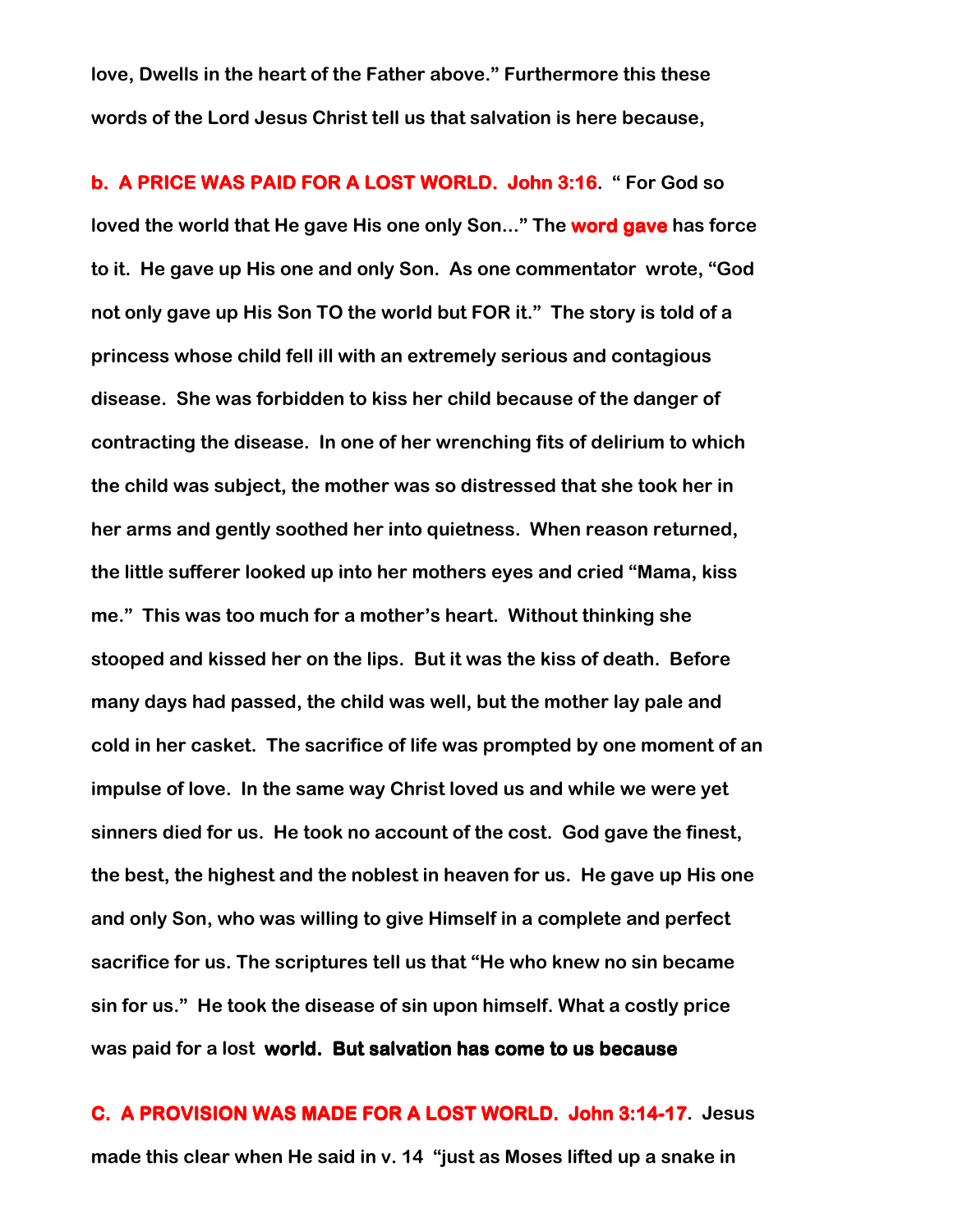love, Dwells in the heart of the Father above." Furthermore this these words of the Lord Jesus Christ tell us that salvation is here because,

b. A PRICE WAS PAID FOR A LOST WORLD. John 3:16. " For God so loved the world that He gave His one only Son..." The **word gave** has force to it. He gave up His one and only Son. As one commentator wrote, "God not only gave up His Son TO the world but FOR it." The story is told of a princess whose child fell ill with an extremely serious and contagious disease. She was forbidden to kiss her child because of the danger of contracting the disease. In one of her wrenching fits of delirium to which the child was subject, the mother was so distressed that she took her in her arms and gently soothed her into quietness. When reason returned, the little sufferer looked up into her mothers eyes and cried "Mama, kiss me." This was too much for a mother's heart. Without thinking she stooped and kissed her on the lips. But it was the kiss of death. Before many days had passed, the child was well, but the mother lay pale and cold in her casket. The sacrifice of life was prompted by one moment of an impulse of love. In the same way Christ loved us and while we were yet sinners died for us. He took no account of the cost. God gave the finest, the best, the highest and the noblest in heaven for us. He gave up His one and only Son, who was willing to give Himself in a complete and perfect sacrifice for us. The scriptures tell us that "He who knew no sin became sin for us." He took the disease of sin upon himself. What a costly price was paid for a lost world. But salvation has come to us because

C. A PROVISION WAS MADE FOR A LOST WORLD. John 3:14-17. Jesus made this clear when He said in v. 14 "just as Moses lifted up a snake in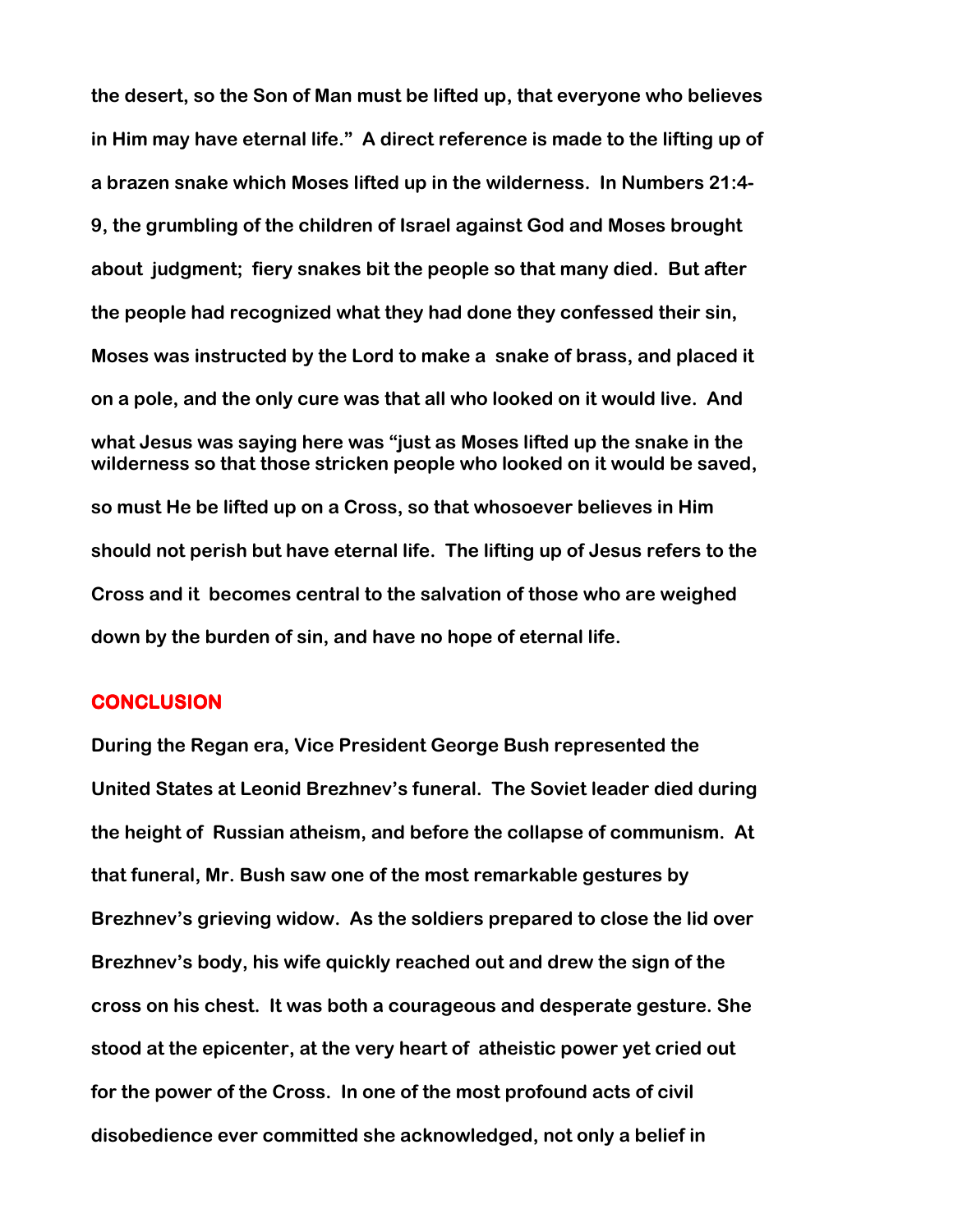the desert, so the Son of Man must be lifted up, that everyone who believes in Him may have eternal life." A direct reference is made to the lifting up of a brazen snake which Moses lifted up in the wilderness. In Numbers 21:4- 9, the grumbling of the children of Israel against God and Moses brought about judgment; fiery snakes bit the people so that many died. But after the people had recognized what they had done they confessed their sin, Moses was instructed by the Lord to make a snake of brass, and placed it on a pole, and the only cure was that all who looked on it would live. And what Jesus was saying here was "just as Moses lifted up the snake in the wilderness so that those stricken people who looked on it would be saved, so must He be lifted up on a Cross, so that whosoever believes in Him should not perish but have eternal life. The lifting up of Jesus refers to the Cross and it becomes central to the salvation of those who are weighed down by the burden of sin, and have no hope of eternal life.

## **CONCLUSION**

During the Regan era, Vice President George Bush represented the United States at Leonid Brezhnev's funeral. The Soviet leader died during the height of Russian atheism, and before the collapse of communism. At that funeral, Mr. Bush saw one of the most remarkable gestures by Brezhnev's grieving widow. As the soldiers prepared to close the lid over Brezhnev's body, his wife quickly reached out and drew the sign of the cross on his chest. It was both a courageous and desperate gesture. She stood at the epicenter, at the very heart of atheistic power yet cried out for the power of the Cross. In one of the most profound acts of civil disobedience ever committed she acknowledged, not only a belief in